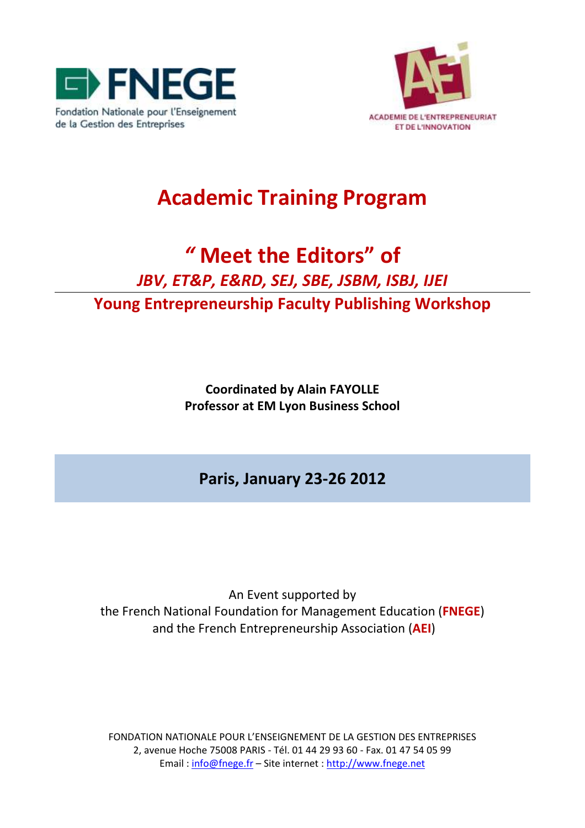



## **Academic Training Program**

# *"* **Meet the Editors" of** *JBV, ET&P, E&RD, SEJ, SBE, JSBM, ISBJ, IJEI*

**Young Entrepreneurship Faculty Publishing Workshop** 

**Coordinated by Alain FAYOLLE Professor at EM Lyon Business School**

**Paris, January 23-26 2012**

An Event supported by the French National Foundation for Management Education (**FNEGE**) and the French Entrepreneurship Association (**AEI**)

FONDATION NATIONALE POUR L'ENSEIGNEMENT DE LA GESTION DES ENTREPRISES 2, avenue Hoche 75008 PARIS - Tél. 01 44 29 93 60 - Fax. 01 47 54 05 99 Email [: info@fnege.fr](mailto:info@fnege.fr) – Site internet [: http://www.fnege.net](http://www.fnege.net/)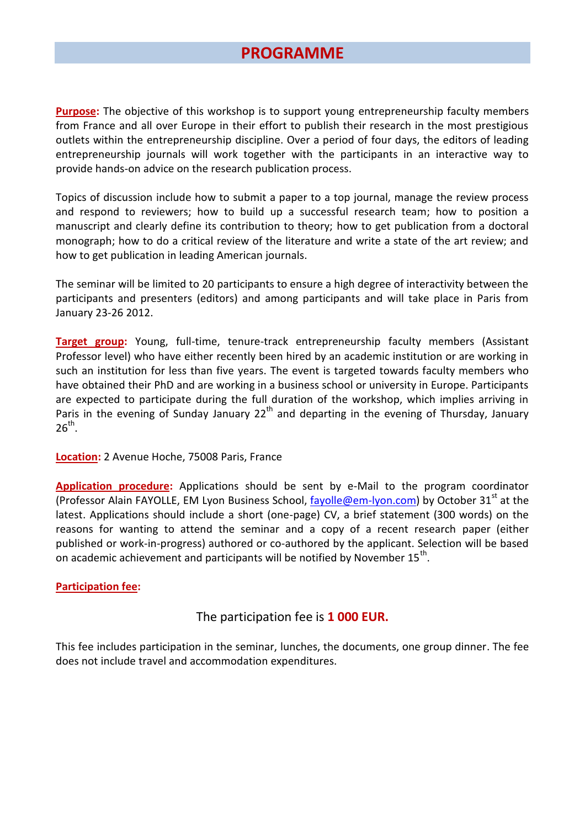### **PROGRAMME**

**Purpose:** The objective of this workshop is to support young entrepreneurship faculty members from France and all over Europe in their effort to publish their research in the most prestigious outlets within the entrepreneurship discipline. Over a period of four days, the editors of leading entrepreneurship journals will work together with the participants in an interactive way to provide hands-on advice on the research publication process.

Topics of discussion include how to submit a paper to a top journal, manage the review process and respond to reviewers; how to build up a successful research team; how to position a manuscript and clearly define its contribution to theory; how to get publication from a doctoral monograph; how to do a critical review of the literature and write a state of the art review; and how to get publication in leading American journals.

The seminar will be limited to 20 participants to ensure a high degree of interactivity between the participants and presenters (editors) and among participants and will take place in Paris from January 23-26 2012.

**Target group:** Young, full-time, tenure-track entrepreneurship faculty members (Assistant Professor level) who have either recently been hired by an academic institution or are working in such an institution for less than five years. The event is targeted towards faculty members who have obtained their PhD and are working in a business school or university in Europe. Participants are expected to participate during the full duration of the workshop, which implies arriving in Paris in the evening of Sunday January  $22<sup>th</sup>$  and departing in the evening of Thursday, January  $26^{th}$ .

**Location:** 2 Avenue Hoche, 75008 Paris, France

**Application procedure:** Applications should be sent by e-Mail to the program coordinator (Professor Alain FAYOLLE, EM Lyon Business School,  $fayolle@em-lyon.com$ ) by October 31<sup>st</sup> at the latest. Applications should include a short (one-page) CV, a brief statement (300 words) on the reasons for wanting to attend the seminar and a copy of a recent research paper (either published or work-in-progress) authored or co-authored by the applicant. Selection will be based on academic achievement and participants will be notified by November 15<sup>th</sup>.

#### **Participation fee:**

#### The participation fee is **1 000 EUR.**

This fee includes participation in the seminar, lunches, the documents, one group dinner. The fee does not include travel and accommodation expenditures.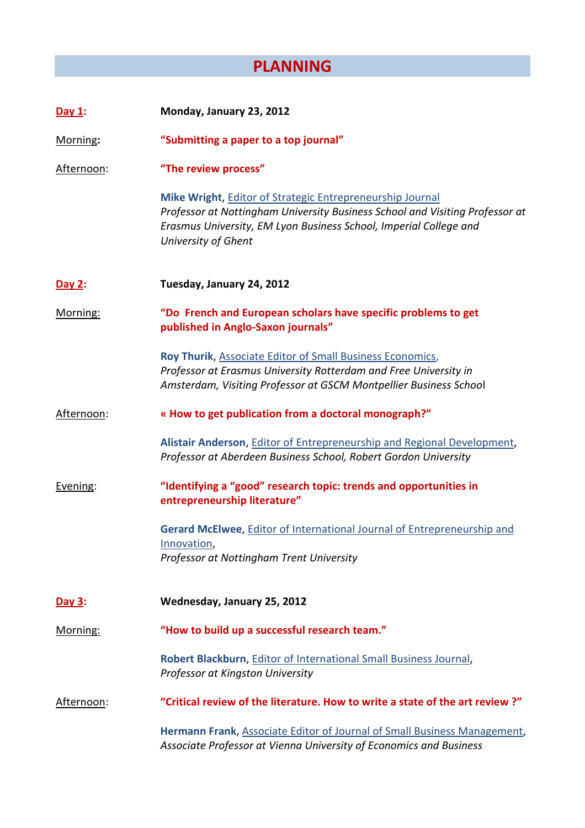### **PLANNING**

| Day $1$ :  | Monday, January 23, 2012                                                                                                                                                                                                              |
|------------|---------------------------------------------------------------------------------------------------------------------------------------------------------------------------------------------------------------------------------------|
| Morning:   | "Submitting a paper to a top journal"                                                                                                                                                                                                 |
| Afternoon: | "The review process"                                                                                                                                                                                                                  |
|            | Mike Wright, Editor of Strategic Entrepreneurship Journal<br>Professor at Nottingham University Business School and Visiting Professor at<br>Erasmus University, EM Lyon Business School, Imperial College and<br>University of Ghent |
| Day 2:     | Tuesday, January 24, 2012                                                                                                                                                                                                             |
| Morning:   | "Do French and European scholars have specific problems to get<br>published in Anglo-Saxon journals"                                                                                                                                  |
|            | Roy Thurik, Associate Editor of Small Business Economics,<br>Professor at Erasmus University Rotterdam and Free University in<br>Amsterdam, Visiting Professor at GSCM Montpellier Business School                                    |
| Afternoon: | « How to get publication from a doctoral monograph?"                                                                                                                                                                                  |
|            | Alistair Anderson, Editor of Entrepreneurship and Regional Development,<br>Professor at Aberdeen Business School, Robert Gordon University                                                                                            |
| Evening:   | "Identifying a "good" research topic: trends and opportunities in<br>entrepreneurship literature"                                                                                                                                     |
|            | Gerard McElwee, Editor of International Journal of Entrepreneurship and<br>Innovation,<br>Professor at Nottingham Trent University                                                                                                    |
| Day 3:     | Wednesday, January 25, 2012                                                                                                                                                                                                           |
| Morning:   | "How to build up a successful research team."                                                                                                                                                                                         |
|            | Robert Blackburn, Editor of International Small Business Journal,<br>Professor at Kingston University                                                                                                                                 |
| Afternoon: | "Critical review of the literature. How to write a state of the art review?"                                                                                                                                                          |
|            | Hermann Frank, Associate Editor of Journal of Small Business Management,<br>Associate Professor at Vienna University of Economics and Business                                                                                        |